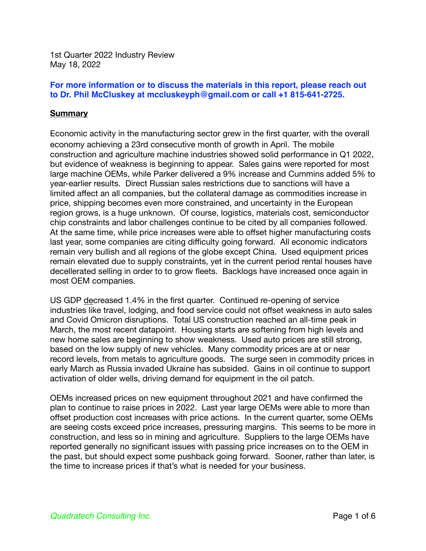1st Quarter 2022 Industry Review May 18, 2022

### **For more information or to discuss the materials in this report, please reach out to Dr. Phil McCluskey at mccluskeyph@gmail.com or call +1 815-641-2725.**

### **Summary**

Economic activity in the manufacturing sector grew in the first quarter, with the overall economy achieving a 23rd consecutive month of growth in April. The mobile construction and agriculture machine industries showed solid performance in Q1 2022, but evidence of weakness is beginning to appear. Sales gains were reported for most large machine OEMs, while Parker delivered a 9% increase and Cummins added 5% to year-earlier results. Direct Russian sales restrictions due to sanctions will have a limited affect an all companies, but the collateral damage as commodities increase in price, shipping becomes even more constrained, and uncertainty in the European region grows, is a huge unknown. Of course, logistics, materials cost, semiconductor chip constraints and labor challenges continue to be cited by all companies followed. At the same time, while price increases were able to offset higher manufacturing costs last year, some companies are citing difficulty going forward. All economic indicators remain very bullish and all regions of the globe except China. Used equipment prices remain elevated due to supply constraints, yet in the current period rental houses have decellerated selling in order to to grow fleets. Backlogs have increased once again in most OEM companies.

US GDP decreased 1.4% in the first quarter. Continued re-opening of service industries like travel, lodging, and food service could not offset weakness in auto sales and Covid Omicron disruptions. Total US construction reached an all-time peak in March, the most recent datapoint. Housing starts are softening from high levels and new home sales are beginning to show weakness. Used auto prices are still strong, based on the low supply of new vehicles. Many commodity prices are at or near record levels, from metals to agriculture goods. The surge seen in commodity prices in early March as Russia invaded Ukraine has subsided. Gains in oil continue to support activation of older wells, driving demand for equipment in the oil patch.

OEMs increased prices on new equipment throughout 2021 and have confirmed the plan to continue to raise prices in 2022. Last year large OEMs were able to more than offset production cost increases with price actions. In the current quarter, some OEMs are seeing costs exceed price increases, pressuring margins. This seems to be more in construction, and less so in mining and agriculture. Suppliers to the large OEMs have reported generally no significant issues with passing price increases on to the OEM in the past, but should expect some pushback going forward. Sooner, rather than later, is the time to increase prices if that's what is needed for your business.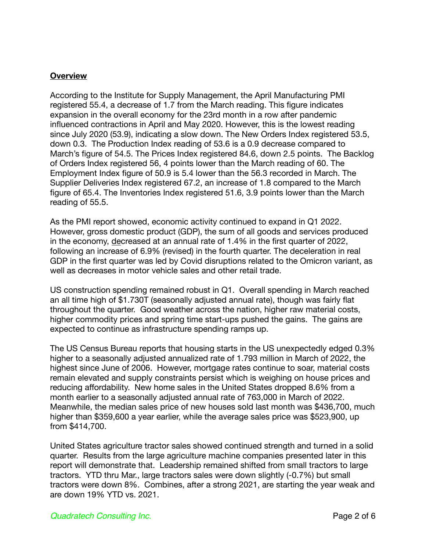## **Overview**

According to the Institute for Supply Management, the April Manufacturing PMI registered 55.4, a decrease of 1.7 from the March reading. This figure indicates expansion in the overall economy for the 23rd month in a row after pandemic influenced contractions in April and May 2020. However, this is the lowest reading since July 2020 (53.9), indicating a slow down. The New Orders Index registered 53.5, down 0.3. The Production Index reading of 53.6 is a 0.9 decrease compared to March's figure of 54.5. The Prices Index registered 84.6, down 2.5 points. The Backlog of Orders Index registered 56, 4 points lower than the March reading of 60. The Employment Index figure of 50.9 is 5.4 lower than the 56.3 recorded in March. The Supplier Deliveries Index registered 67.2, an increase of 1.8 compared to the March figure of 65.4. The Inventories Index registered 51.6, 3.9 points lower than the March reading of 55.5.

As the PMI report showed, economic activity continued to expand in Q1 2022. However, gross domestic product (GDP), the sum of all goods and services produced in the economy, decreased at an annual rate of 1.4% in the first quarter of 2022, following an increase of 6.9% (revised) in the fourth quarter. The deceleration in real GDP in the first quarter was led by Covid disruptions related to the Omicron variant, as well as decreases in motor vehicle sales and other retail trade.

US construction spending remained robust in Q1. Overall spending in March reached an all time high of \$1.730T (seasonally adjusted annual rate), though was fairly flat throughout the quarter. Good weather across the nation, higher raw material costs, higher commodity prices and spring time start-ups pushed the gains. The gains are expected to continue as infrastructure spending ramps up.

The US Census Bureau reports that housing starts in the US unexpectedly edged 0.3% higher to a seasonally adjusted annualized rate of 1.793 million in March of 2022, the highest since June of 2006. However, mortgage rates continue to soar, material costs remain elevated and supply constraints persist which is weighing on house prices and reducing affordability. New home sales in the United States dropped 8.6% from a month earlier to a seasonally adjusted annual rate of 763,000 in March of 2022. Meanwhile, the median sales price of new houses sold last month was \$436,700, much higher than \$359,600 a year earlier, while the average sales price was \$523,900, up from \$414,700.

United States agriculture tractor sales showed continued strength and turned in a solid quarter. Results from the large agriculture machine companies presented later in this report will demonstrate that. Leadership remained shifted from small tractors to large tractors. YTD thru Mar., large tractors sales were down slightly (-0.7%) but small tractors were down 8%. Combines, after a strong 2021, are starting the year weak and are down 19% YTD vs. 2021.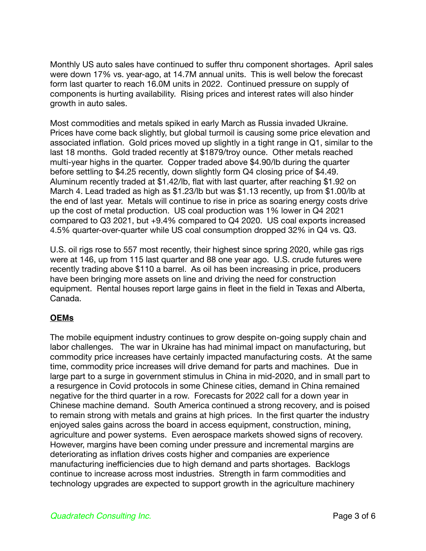Monthly US auto sales have continued to suffer thru component shortages. April sales were down 17% vs. year-ago, at 14.7M annual units. This is well below the forecast form last quarter to reach 16.0M units in 2022. Continued pressure on supply of components is hurting availability. Rising prices and interest rates will also hinder growth in auto sales.

Most commodities and metals spiked in early March as Russia invaded Ukraine. Prices have come back slightly, but global turmoil is causing some price elevation and associated inflation. Gold prices moved up slightly in a tight range in Q1, similar to the last 18 months. Gold traded recently at \$1879/troy ounce. Other metals reached multi-year highs in the quarter. Copper traded above \$4.90/lb during the quarter before settling to \$4.25 recently, down slightly form Q4 closing price of \$4.49. Aluminum recently traded at \$1.42/lb, flat with last quarter, after reaching \$1.92 on March 4. Lead traded as high as \$1.23/lb but was \$1.13 recently, up from \$1.00/lb at the end of last year. Metals will continue to rise in price as soaring energy costs drive up the cost of metal production. US coal production was 1% lower in Q4 2021 compared to Q3 2021, but +9.4% compared to Q4 2020. US coal exports increased 4.5% quarter-over-quarter while US coal consumption dropped 32% in Q4 vs. Q3.

U.S. oil rigs rose to 557 most recently, their highest since spring 2020, while gas rigs were at 146, up from 115 last quarter and 88 one year ago. U.S. crude futures were recently trading above \$110 a barrel. As oil has been increasing in price, producers have been bringing more assets on line and driving the need for construction equipment. Rental houses report large gains in fleet in the field in Texas and Alberta, Canada.

## **OEMs**

The mobile equipment industry continues to grow despite on-going supply chain and labor challenges. The war in Ukraine has had minimal impact on manufacturing, but commodity price increases have certainly impacted manufacturing costs. At the same time, commodity price increases will drive demand for parts and machines. Due in large part to a surge in government stimulus in China in mid-2020, and in small part to a resurgence in Covid protocols in some Chinese cities, demand in China remained negative for the third quarter in a row. Forecasts for 2022 call for a down year in Chinese machine demand. South America continued a strong recovery, and is poised to remain strong with metals and grains at high prices. In the first quarter the industry enjoyed sales gains across the board in access equipment, construction, mining, agriculture and power systems. Even aerospace markets showed signs of recovery. However, margins have been coming under pressure and incremental margins are deteriorating as inflation drives costs higher and companies are experience manufacturing inefficiencies due to high demand and parts shortages. Backlogs continue to increase across most industries. Strength in farm commodities and technology upgrades are expected to support growth in the agriculture machinery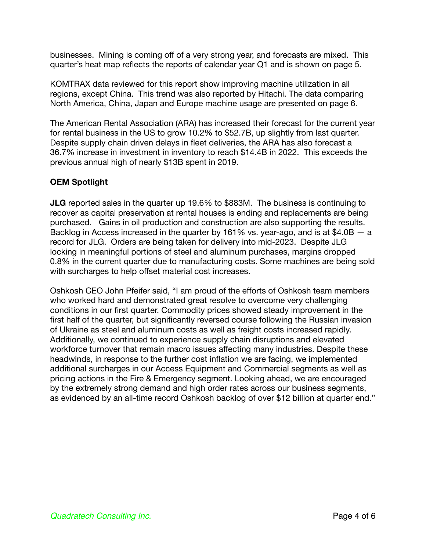businesses. Mining is coming off of a very strong year, and forecasts are mixed. This quarter's heat map reflects the reports of calendar year Q1 and is shown on page 5.

KOMTRAX data reviewed for this report show improving machine utilization in all regions, except China. This trend was also reported by Hitachi. The data comparing North America, China, Japan and Europe machine usage are presented on page 6.

The American Rental Association (ARA) has increased their forecast for the current year for rental business in the US to grow 10.2% to \$52.7B, up slightly from last quarter. Despite supply chain driven delays in fleet deliveries, the ARA has also forecast a 36.7% increase in investment in inventory to reach \$14.4B in 2022. This exceeds the previous annual high of nearly \$13B spent in 2019.

### **OEM Spotlight**

**JLG** reported sales in the quarter up 19.6% to \$883M. The business is continuing to recover as capital preservation at rental houses is ending and replacements are being purchased. Gains in oil production and construction are also supporting the results. Backlog in Access increased in the quarter by 161% vs. year-ago, and is at \$4.0B — a record for JLG. Orders are being taken for delivery into mid-2023. Despite JLG locking in meaningful portions of steel and aluminum purchases, margins dropped 0.8% in the current quarter due to manufacturing costs. Some machines are being sold with surcharges to help offset material cost increases.

Oshkosh CEO John Pfeifer said, "I am proud of the efforts of Oshkosh team members who worked hard and demonstrated great resolve to overcome very challenging conditions in our first quarter. Commodity prices showed steady improvement in the first half of the quarter, but significantly reversed course following the Russian invasion of Ukraine as steel and aluminum costs as well as freight costs increased rapidly. Additionally, we continued to experience supply chain disruptions and elevated workforce turnover that remain macro issues affecting many industries. Despite these headwinds, in response to the further cost inflation we are facing, we implemented additional surcharges in our Access Equipment and Commercial segments as well as pricing actions in the Fire & Emergency segment. Looking ahead, we are encouraged by the extremely strong demand and high order rates across our business segments, as evidenced by an all-time record Oshkosh backlog of over \$12 billion at quarter end."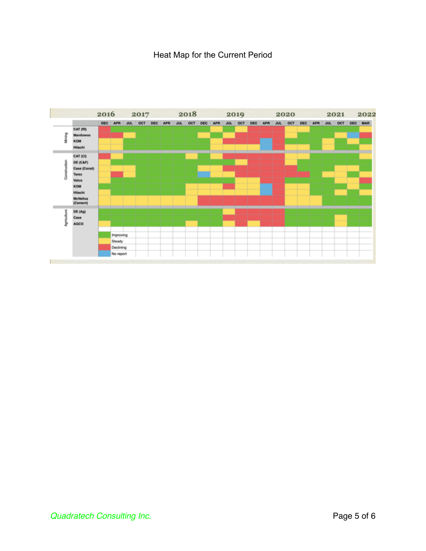# Heat Map for the Current Period